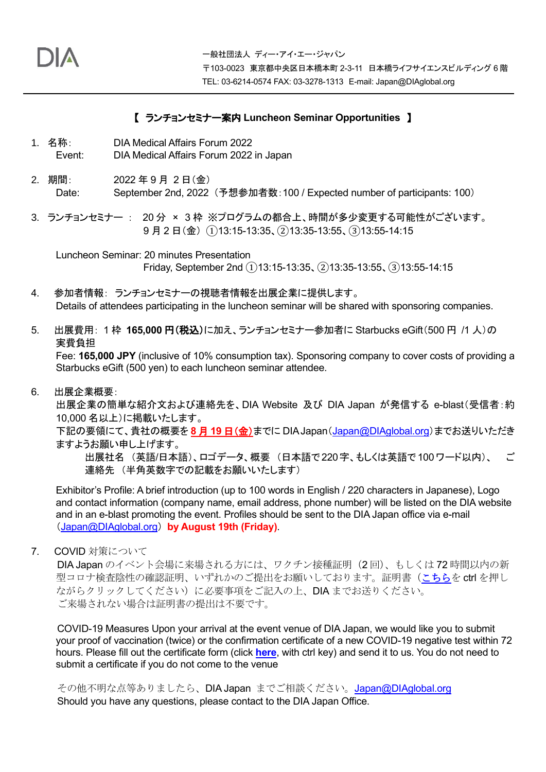## 【 ランチョンセミナー案内 **Luncheon Seminar Opportunities** 】

- 1. 名称: DIA Medical Affairs Forum 2022 Event: DIA Medical Affairs Forum 2022 in Japan
- 2. 期間: 2022 年 9 月 2 日(金) Date: September 2nd, 2022 (予想参加者数:100 / Expected number of participants: 100)
- 3. ランチョンセミナー : 20 分 × 3 枠 ※プログラムの都合上、時間が多少変更する可能性がございます。 9 月 2 日(金) ①13:15-13:35、②13:35-13:55、③13:55-14:15

 Luncheon Seminar: 20 minutes Presentation Friday, September 2nd  $(1)$ 13:15-13:35,  $(2)$ 13:35-13:55,  $(3)$ 13:55-14:15

- 4. 参加者情報: ランチョンセミナーの視聴者情報を出展企業に提供します。 Details of attendees participating in the luncheon seminar will be shared with sponsoring companies.
- 5. 出展費用: 1 枠 **165,000** 円(税込)に加え、ランチョンセミナー参加者に Starbucks eGift(500 円 /1 人)の 実費負担

Fee: **165,000 JPY** (inclusive of 10% consumption tax). Sponsoring company to cover costs of providing a Starbucks eGift (500 yen) to each luncheon seminar attendee.

6. 出展企業概要:

出展企業の簡単な紹介文および連絡先を、DIA Website 及び DIA Japan が発信する e-blast(受信者:約 10,000 名以上)に掲載いたします。

下記の要領にて、貴社の概要を **8** 月 **19** 日(金)までに DIA Japan([Japan@DIAglobal.org](mailto:Japan@DIAglobal.org))までお送りいただき ますようお願い申し上げます。

出展社名 (英語/日本語)、ロゴデータ、概要 (日本語で220字、もしくは英語で100ワード以内)、 ご 連絡先 (半角英数字での記載をお願いいたします)

Exhibitor's Profile: A brief introduction (up to 100 words in English / 220 characters in Japanese), Logo and contact information (company name, email address, phone number) will be listed on the DIA website and in an e-blast promoting the event. Profiles should be sent to the DIA Japan office via e-mail ([Japan@DIAglobal.org](mailto:Japan@DIAglobal.org)) **by August 19th (Friday)**.

7. COVID 対策について

DIA Japan のイベント会場に来場される方には、ワクチン接種証明(2回)、もしくは72時間以内の新 型コロナ検査陰性の確認証明、いずれかのご提出をお願いしております。証明書[\(こちらを](https://www.diaglobal.org/Tools/Content.aspx?type=eopdf&file=%2fproductfiles%2f10087036%2fvaccination_certificate%2Epdf) ctrl を押し ながらクリックしてください)に必要事項をご記入の上、DIA までお送りください。 ご来場されない場合は証明書の提出は不要です。

COVID-19 Measures Upon your arrival at the event venue of DIA Japan, we would like you to submit your proof of vaccination (twice) or the confirmation certificate of a new COVID-19 negative test within 72 hours. Please fill out the certificate form (click **[here](https://www.diaglobal.org/Tools/Content.aspx?type=eopdf&file=%2fproductfiles%2f10087036%2fvaccination_certificate%2Epdf)**, with ctrl key) and send it to us. You do not need to submit a certificate if you do not come to the venue

その他不明な点等ありましたら、DIA Japan までご相談ください。[Japan@DIAglobal.org](mailto:Japan@DIAglobal.org) Should you have any questions, please contact to the DIA Japan Office.